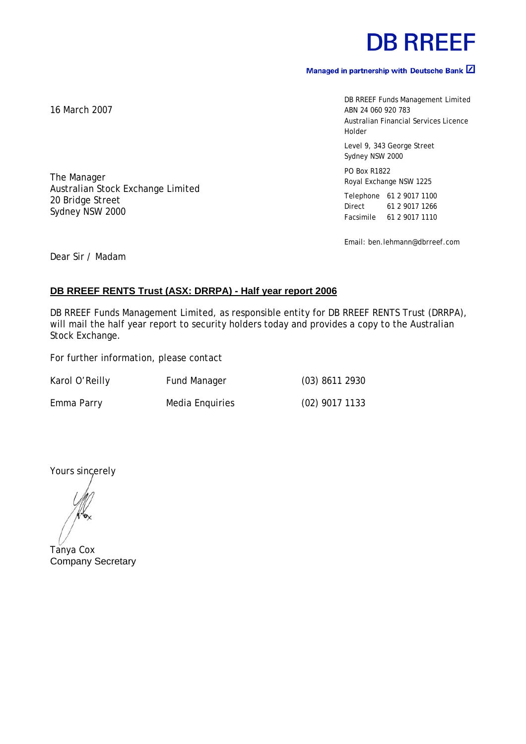# **DB RREEF**

## Managed in partnership with Deutsche Bank  $\boxed{2}$

DB RREEF Funds Management Limited ABN 24 060 920 783 Australian Financial Services Licence Holder Level 9, 343 George Street Sydney NSW 2000 PO Box R1822 Royal Exchange NSW 1225 Telephone 61 2 9017 1100

Email: ben.lehmann@dbrreef.com

Direct 61 2 9017 1266 Facsimile 61 2 9017 1110

Dear Sir / Madam

### **DB RREEF RENTS Trust (ASX: DRRPA) - Half year report 2006**

DB RREEF Funds Management Limited, as responsible entity for DB RREEF RENTS Trust (DRRPA), will mail the half year report to security holders today and provides a copy to the Australian Stock Exchange.

For further information, please contact

Australian Stock Exchange Limited

| Karol O'Reilly | <b>Fund Manager</b> | $(03)$ 8611 2930 |
|----------------|---------------------|------------------|
| Emma Parry     | Media Enquiries     | $(02)$ 9017 1133 |

Yours sincerely

Tanya Cox Company Secretary

16 March 2007

The Manager

20 Bridge Street Sydney NSW 2000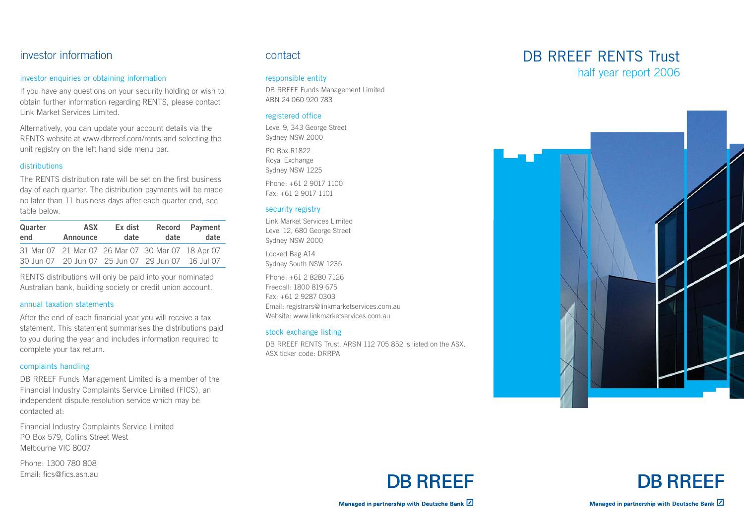## investor information

#### investor enquiries or obtaining information

If you have any questions on your security holding or wish to obtain further information regarding RENTS, please contact Link Market Services Limited.

Alternatively, you can update your account details via the RENTS website at www.dbrreef.com/rents and selecting the unit registry on the left hand side menu bar.

#### distributions

The RENTS distribution rate will be set on the first business day of each quarter. The distribution payments will be made no later than 11 business days after each quarter end, see table below.

| Quarter | <b>ASX</b> | Ex dist | date                                                                                                   | Record Payment |
|---------|------------|---------|--------------------------------------------------------------------------------------------------------|----------------|
| end     | Announce   | date    |                                                                                                        | date           |
|         |            |         | 31 Mar 07 21 Mar 07 26 Mar 07 30 Mar 07 18 Apr 07<br>30 Jun 07 20 Jun 07 25 Jun 07 29 Jun 07 16 Jul 07 |                |

RENTS distributions will only be paid into your nominated Australian bank, building society or credit union account.

#### annual taxation statements

After the end of each financial year you will receive a tax statement. This statement summarises the distributions paid to you during the year and includes information required to complete your tax return.

#### complaints handling

DB RREEF Funds Management Limited is a member of the Financial Industry Complaints Service Limited (FICS), an independent dispute resolution service which may be contacted at:

Financial Industry Complaints Service Limited PO Box 579, Collins Street West Melbourne VIC 8007

Phone: 1300 780 808 Email: fics@fics.asn.au

## contact

#### responsible entity

DB RREEF Funds Management Limited ABN 24 060 920 783

#### registered office

Level 9, 343 George Street Sydney NSW 2000

PO Box R1822 Royal Exchange Sydney NSW 1225 Phone: +61 2 9017 1100 Fax: +61 2 9017 1101

#### security registry

Link Market Services Limited Level 12, 680 George Street Sydney NSW 2000

Locked Bag A14 Sydney South NSW 1235

Phone: +61 2 8280 7126 Freecall: 1800 819 675 Fax: +61 2 9287 0303 Email: registrars@linkmarketservices.com.au Website: www.linkmarketservices.com.au

#### stock exchange listing

DB RREEF RENTS Trust, ARSN 112 705 852 is listed on the ASX. ASX ticker code: DRRPA

## DB RRFFF RENTS Trust half year report 2006







Managed in partnership with Deutsche Bank Z